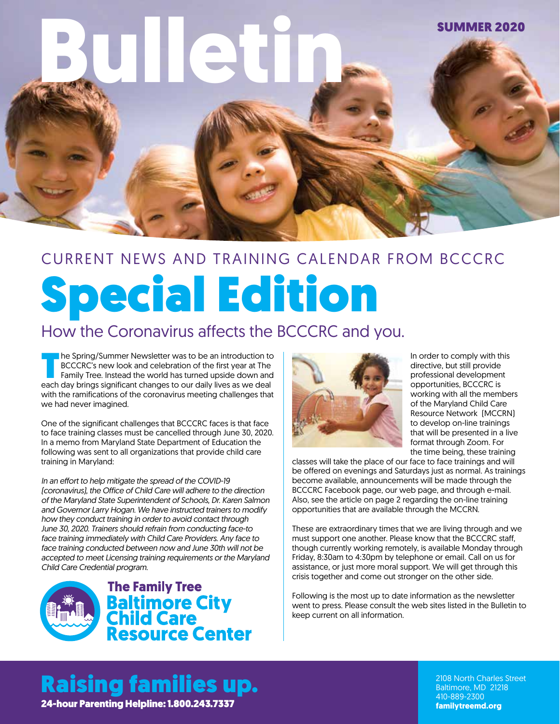

## Special Edition CURRENT NEWS AND TRAINING CALENDAR FROM BCCCRC

## How the Coronavirus affects the BCCCRC and you.

The Spring/Summer Newsletter was to be an introduction to BCCCRC's new look and celebration of the first year at The Family Tree. Instead the world has turned upside down and each day brings significant changes to our daily lives as we deal with the ramifications of the coronavirus meeting challenges that we had never imagined.

One of the significant challenges that BCCCRC faces is that face to face training classes must be cancelled through June 30, 2020. In a memo from Maryland State Department of Education the following was sent to all organizations that provide child care training in Maryland:

*In an effort to help mitigate the spread of the COVID-19 (coronavirus), the Office of Child Care will adhere to the direction of the Maryland State Superintendent of Schools, Dr. Karen Salmon and Governor Larry Hogan. We have instructed trainers to modify how they conduct training in order to avoid contact through June 30, 2020. Trainers should refrain from conducting face-to face training immediately with Child Care Providers. Any face to face training conducted between now and June 30th will not be accepted to meet Licensing training requirements or the Maryland Child Care Credential program.* 





In order to comply with this directive, but still provide professional development opportunities, BCCCRC is working with all the members of the Maryland Child Care Resource Network (MCCRN) to develop on-line trainings that will be presented in a live format through Zoom. For the time being, these training

classes will take the place of our face to face trainings and will be offered on evenings and Saturdays just as normal. As trainings become available, announcements will be made through the BCCCRC Facebook page, our web page, and through e-mail. Also, see the article on page 2 regarding the on-line training opportunities that are available through the MCCRN.

These are extraordinary times that we are living through and we must support one another. Please know that the BCCCRC staff, though currently working remotely, is available Monday through Friday, 8:30am to 4:30pm by telephone or email. Call on us for assistance, or just more moral support. We will get through this crisis together and come out stronger on the other side.

Following is the most up to date information as the newsletter went to press. Please consult the web sites listed in the Bulletin to keep current on all information.

## Raising families up.

24-hour Parenting Helpline: 1.800.243.7337

2108 North Charles Street Baltimore, MD 21218 410-889-2300 **familytreemd.org**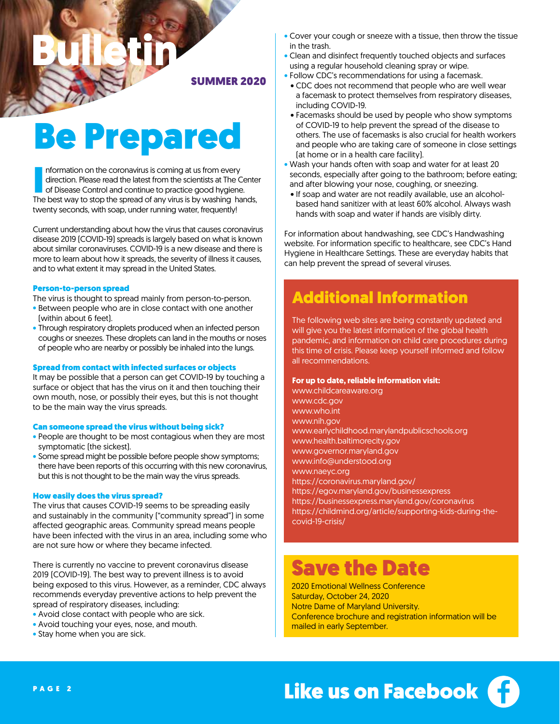SUMMER 2020

# Be Prepared

Information on the coronavirus is coming at us from every<br>direction. Please read the latest from the scientists at The Center<br>of Disease Control and continue to practice good hygiene.<br>The best way to stop the spread of any nformation on the coronavirus is coming at us from every direction. Please read the latest from the scientists at The Center of Disease Control and continue to practice good hygiene. twenty seconds, with soap, under running water, frequently!

Current understanding about how the virus that causes coronavirus disease 2019 (COVID-19) spreads is largely based on what is known about similar coronaviruses. COVID-19 is a new disease and there is more to learn about how it spreads, the severity of illness it causes, and to what extent it may spread in the United States.

#### Person-to-person spread

The virus is thought to spread mainly from person-to-person.

- Between people who are in close contact with one another (within about 6 feet).
- Through respiratory droplets produced when an infected person coughs or sneezes. These droplets can land in the mouths or noses of people who are nearby or possibly be inhaled into the lungs.

#### Spread from contact with infected surfaces or objects

It may be possible that a person can get COVID-19 by touching a surface or object that has the virus on it and then touching their own mouth, nose, or possibly their eyes, but this is not thought to be the main way the virus spreads.

#### Can someone spread the virus without being sick?

- People are thought to be most contagious when they are most symptomatic (the sickest).
- Some spread might be possible before people show symptoms; there have been reports of this occurring with this new coronavirus, but this is not thought to be the main way the virus spreads.

#### How easily does the virus spread?

The virus that causes COVID-19 seems to be spreading easily and sustainably in the community ("community spread") in some affected geographic areas. Community spread means people have been infected with the virus in an area, including some who are not sure how or where they became infected.

There is currently no vaccine to prevent coronavirus disease 2019 (COVID-19). The best way to prevent illness is to avoid being exposed to this virus. However, as a reminder, CDC always recommends everyday preventive actions to help prevent the spread of respiratory diseases, including:

- Avoid close contact with people who are sick.
- Avoid touching your eyes, nose, and mouth.
- Stay home when you are sick.
- Cover your cough or sneeze with a tissue, then throw the tissue in the trash.
- Clean and disinfect frequently touched objects and surfaces using a regular household cleaning spray or wipe.
- Follow CDC's recommendations for using a facemask.
	- CDC does not recommend that people who are well wear a facemask to protect themselves from respiratory diseases, including COVID-19.
- Facemasks should be used by people who show symptoms of COVID-19 to help prevent the spread of the disease to others. The use of facemasks is also crucial for health workers and people who are taking care of someone in close settings (at home or in a health care facility).
- Wash your hands often with soap and water for at least 20 seconds, especially after going to the bathroom; before eating; and after blowing your nose, coughing, or sneezing.
	- If soap and water are not readily available, use an alcoholbased hand sanitizer with at least 60% alcohol. Always wash hands with soap and water if hands are visibly dirty.

For information about handwashing, see CDC's Handwashing website. For information specific to healthcare, see CDC's Hand Hygiene in Healthcare Settings. These are everyday habits that can help prevent the spread of several viruses.

## Additional Information

The following web sites are being constantly updated and will give you the latest information of the global health pandemic, and information on child care procedures during this time of crisis. Please keep yourself informed and follow all recommendations.

#### **For up to date, reliable information visit:**

www.childcareaware.org www.cdc.gov www.who.int www.nih.gov www.earlychildhood.marylandpublicschools.org www.health.baltimorecity.gov www.governor.maryland.gov www.info@understood.org www.naeyc.org https://coronavirus.maryland.gov/ https://egov.maryland.gov/businessexpress https://businessexpress.maryland.gov/coronavirus https://childmind.org/article/supporting-kids-during-thecovid-19-crisis/

## Save the Date

2020 Emotional Wellness Conference Saturday, October 24, 2020 Notre Dame of Maryland University. Conference brochure and registration information will be mailed in early September.

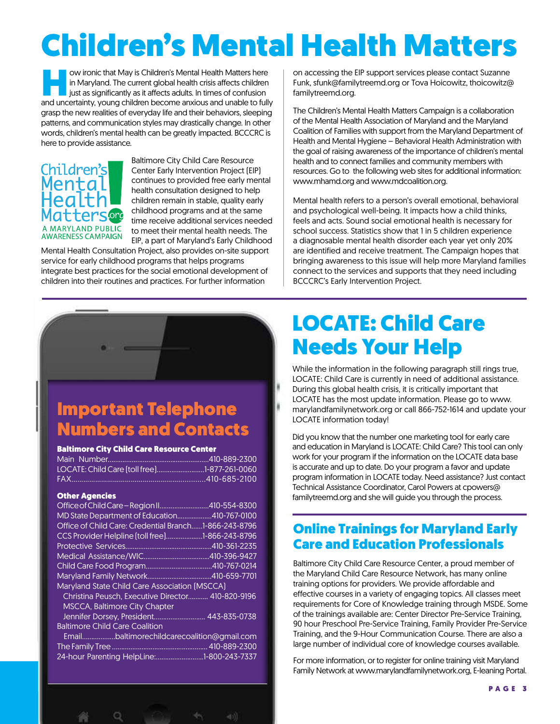# Children's Mental Health Matters

ow ironic that May is Children's Mental Health Matters here<br>in Maryland. The current global health crisis affects children<br>just as significantly as it affects adults. In times of confusion<br>and uncertainty young children be in Maryland. The current global health crisis affects children just as significantly as it affects adults. In times of confusion and uncertainty, young children become anxious and unable to fully grasp the new realities of everyday life and their behaviors, sleeping patterns, and communication styles may drastically change. In other words, children's mental health can be greatly impacted. BCCCRC is here to provide assistance.

### Children's Mental<br>Health attersor A MARYLAND PUBLIC **AWARENESS CAMPAIGN**

Baltimore City Child Care Resource Center Early Intervention Project (EIP) continues to provided free early mental health consultation designed to help children remain in stable, quality early childhood programs and at the same time receive additional services needed to meet their mental health needs. The EIP, a part of Maryland's Early Childhood

Mental Health Consultation Project, also provides on-site support service for early childhood programs that helps programs integrate best practices for the social emotional development of children into their routines and practices. For further information

on accessing the EIP support services please contact Suzanne Funk, sfunk@familytreemd.org or Tova Hoicowitz, thoicowitz@ familytreemd.org.

The Children's Mental Health Matters Campaign is a collaboration of the Mental Health Association of Maryland and the Maryland Coalition of Families with support from the Maryland Department of Health and Mental Hygiene – Behavioral Health Administration with the goal of raising awareness of the importance of children's mental health and to connect families and community members with resources. Go to the following web sites for additional information: www.mhamd.org and www.mdcoalition.org.

Mental health refers to a person's overall emotional, behavioral and psychological well-being. It impacts how a child thinks, feels and acts. Sound social emotional health is necessary for school success. Statistics show that 1 in 5 children experience a diagnosable mental health disorder each year yet only 20% are identified and receive treatment. The Campaign hopes that bringing awareness to this issue will help more Maryland families connect to the services and supports that they need including BCCCRC's Early Intervention Project.

## Important Telephone Numbers and Contacts

| <b>Baltimore City Child Care Resource Center</b> |  |
|--------------------------------------------------|--|
|                                                  |  |
| LOCATE: Child Care [toll free]1-877-261-0060     |  |
|                                                  |  |
|                                                  |  |

#### Other Agencies

| ---------------                                       |  |
|-------------------------------------------------------|--|
| Office of Child Care - Region II410-554-8300          |  |
| MD State Department of Education410-767-0100          |  |
| Office of Child Care: Credential Branch1-866-243-8796 |  |
| CCS Provider Helpline [toll free]1-866-243-8796       |  |
|                                                       |  |
|                                                       |  |
|                                                       |  |
|                                                       |  |
| <b>Maryland State Child Care Association (MSCCA)</b>  |  |
| Christina Peusch, Executive Director 410-820-9196     |  |
| MSCCA, Baltimore City Chapter                         |  |
| Jennifer Dorsey, President 443-835-0738               |  |
| <b>Baltimore Child Care Coalition</b>                 |  |
| Emailbaltimorechildcarecoalition@gmail.com            |  |
|                                                       |  |
| 24-hour Parenting HelpLine:1-800-243-7337             |  |
|                                                       |  |

Q

## LOCATE: Child Care Needs Your Help

While the information in the following paragraph still rings true, LOCATE: Child Care is currently in need of additional assistance. During this global health crisis, it is critically important that LOCATE has the most update information. Please go to www. marylandfamilynetwork.org or call 866-752-1614 and update your LOCATE information today!

Did you know that the number one marketing tool for early care and education in Maryland is LOCATE: Child Care? This tool can only work for your program if the information on the LOCATE data base is accurate and up to date. Do your program a favor and update program information in LOCATE today. Need assistance? Just contact Technical Assistance Coordinator, Carol Powers at cpowers@ familytreemd.org and she will guide you through the process.

#### Online Trainings for Maryland Early Care and Education Professionals

Baltimore City Child Care Resource Center, a proud member of the Maryland Child Care Resource Network, has many online training options for providers. We provide affordable and effective courses in a variety of engaging topics. All classes meet requirements for Core of Knowledge training through MSDE. Some of the trainings available are: Center Director Pre-Service Training, 90 hour Preschool Pre-Service Training, Family Provider Pre-Service Training, and the 9-Hour Communication Course. There are also a large number of individual core of knowledge courses available.

For more information, or to register for online training visit Maryland Family Network at www.marylandfamilynetwork.org, E-leaning Portal.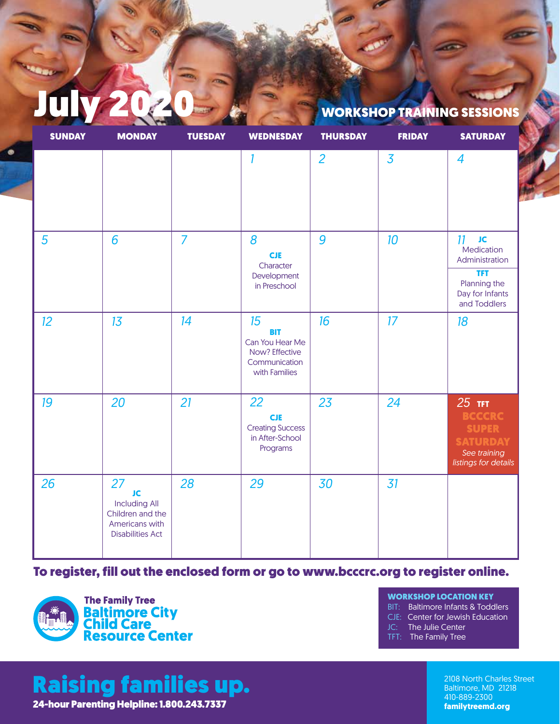# July 2020 & WORKSHOP TRAINING SESSIONS

| <b>SUNDAY</b> | <b>MONDAY</b>                                                                                     | <b>TUESDAY</b> | <b>WEDNESDAY</b>                                                                        | <b>THURSDAY</b> | <b>FRIDAY</b>   | <b>SATURDAY</b>                                                                                      |
|---------------|---------------------------------------------------------------------------------------------------|----------------|-----------------------------------------------------------------------------------------|-----------------|-----------------|------------------------------------------------------------------------------------------------------|
|               |                                                                                                   |                | 1                                                                                       | $\overline{2}$  | $\overline{3}$  | $\overline{\mathcal{A}}$                                                                             |
| 5             | 6                                                                                                 | $\overline{7}$ | 8<br><b>CJE</b><br>Character<br>Development<br>in Preschool                             | 9               | 10 <sup>°</sup> | 11<br>JC<br>Medication<br>Administration                                                             |
|               |                                                                                                   |                |                                                                                         |                 |                 | <b>TFT</b><br>Planning the<br>Day for Infants<br>and Toddlers                                        |
| 12            | 13                                                                                                | 14             | 15<br><b>BIT</b><br>Can You Hear Me<br>Now? Effective<br>Communication<br>with Families | 16              | 17              | 18                                                                                                   |
| 19            | 20                                                                                                | 21             | 22<br><b>CJE</b><br><b>Creating Success</b><br>in After-School<br>Programs              | 23              | 24              | $25$ TFT<br><b>BCCCRC</b><br><b>SUPER</b><br><b>SATURDAY</b><br>See training<br>listings for details |
| 26            | 27<br>JC<br><b>Including All</b><br>Children and the<br>Americans with<br><b>Disabilities Act</b> | 28             | 29                                                                                      | 30              | 31              |                                                                                                      |

To register, fill out the enclosed form or go to www.bcccrc.org to register online.



Raising families up.

24-hour Parenting Helpline: 1.800.243.7337

#### WORKSHOP LOCATION KEY

- BIT: Baltimore Infants & Toddlers
- CJE: Center for Jewish Education
- JC: The Julie Center
- TFT: The Family Tree

2108 North Charles Street Baltimore, MD 21218 410-889-2300 **familytreemd.org**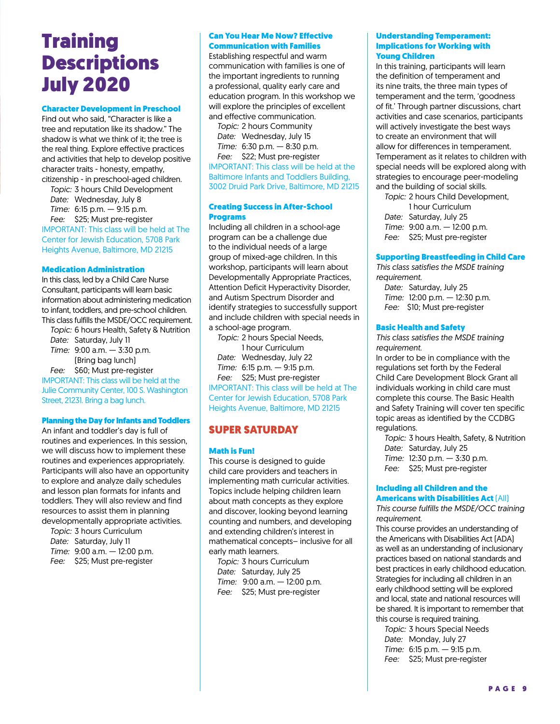## **Training Descriptions** July 2020

#### Character Development in Preschool

Find out who said, "Character is like a tree and reputation like its shadow." The shadow is what we think of it; the tree is the real thing. Explore effective practices and activities that help to develop positive character traits - honesty, empathy, citizenship - in preschool-aged children.

*Topic:* 3 hours Child Development *Date:* Wednesday, July 8

*Time:* 6:15 p.m. — 9:15 p.m.

*Fee:* \$25; Must pre-register

IMPORTANT: This class will be held at The Center for Jewish Education, 5708 Park Heights Avenue, Baltimore, MD 21215

#### Medication Administration

In this class, led by a Child Care Nurse Consultant, participants will learn basic information about administering medication to infant, toddlers, and pre-school children. This class fulfills the MSDE/OCC requirement.

*Topic:* 6 hours Health, Safety & Nutrition *Date:* Saturday, July 11 *Time:* 9:00 a.m. — 3:30 p.m. (Bring bag lunch)

*Fee:* \$60; Must pre-register IMPORTANT: This class will be held at the Julie Community Center, 100 S. Washington

### Street, 21231. Bring a bag lunch.

#### Planning the Day for Infants and Toddlers

An infant and toddler's day is full of routines and experiences. In this session, we will discuss how to implement these routines and experiences appropriately. Participants will also have an opportunity to explore and analyze daily schedules and lesson plan formats for infants and toddlers. They will also review and find resources to assist them in planning developmentally appropriate activities.

*Topic:* 3 hours Curriculum

- *Date:* Saturday, July 11
- *Time:* 9:00 a.m. 12:00 p.m.
- *Fee:* \$25; Must pre-register

#### Can You Hear Me Now? Effective Communication with Families

Establishing respectful and warm communication with families is one of the important ingredients to running a professional, quality early care and education program. In this workshop we will explore the principles of excellent and effective communication.

*Topic:* 2 hours Community *Date:* Wednesday, July 15 *Time:* 6:30 p.m. — 8:30 p.m. *Fee:* \$22; Must pre-register IMPORTANT: This class will be held at the Baltimore Infants and Toddlers Building, 3002 Druid Park Drive, Baltimore, MD 21215

#### Creating Success in After-School Programs

Including all children in a school-age program can be a challenge due to the individual needs of a large group of mixed-age children. In this workshop, participants will learn about Developmentally Appropriate Practices, Attention Deficit Hyperactivity Disorder, and Autism Spectrum Disorder and identify strategies to successfully support and include children with special needs in a school-age program.

*Topic:* 2 hours Special Needs, 1 hour Curriculum *Date:* Wednesday, July 22 *Time:* 6:15 p.m. — 9:15 p.m. *Fee:* \$25; Must pre-register

IMPORTANT: This class will be held at The Center for Jewish Education, 5708 Park Heights Avenue, Baltimore, MD 21215

#### SUPER SATURDAY

#### Math is Fun!

This course is designed to guide child care providers and teachers in implementing math curricular activities. Topics include helping children learn about math concepts as they explore and discover, looking beyond learning counting and numbers, and developing and extending children's interest in mathematical concepts– inclusive for all early math learners.

*Topic:* 3 hours Curriculum *Date:* Saturday, July 25 *Time:* 9:00 a.m. — 12:00 p.m. *Fee:* \$25; Must pre-register

#### Understanding Temperament: Implications for Working with Young Children

In this training, participants will learn the definition of temperament and its nine traits, the three main types of temperament and the term, 'goodness of fit.' Through partner discussions, chart activities and case scenarios, participants will actively investigate the best ways to create an environment that will allow for differences in temperament. Temperament as it relates to children with special needs will be explored along with strategies to encourage peer-modeling and the building of social skills.

*Topic:* 2 hours Child Development, 1 hour Curriculum *Date:* Saturday, July 25 *Time:* 9:00 a.m. — 12:00 p.m. *Fee:* \$25; Must pre-register

#### Supporting Breastfeeding in Child Care

*This class satisfies the MSDE training requirement. Date:* Saturday, July 25

- *Time:* 12:00 p.m. 12:30 p.m.
- *Fee:* \$10; Must pre-register

#### Basic Health and Safety

*This class satisfies the MSDE training requirement.*

In order to be in compliance with the regulations set forth by the Federal Child Care Development Block Grant all individuals working in child care must complete this course. The Basic Health and Safety Training will cover ten specific topic areas as identified by the CCDBG regulations.

*Topic:* 3 hours Health, Safety, & Nutrition

- *Date:* Saturday, July 25
- *Time:* 12:30 p.m. 3:30 p.m.
- *Fee:* \$25; Must pre-register

#### Including all Children and the Americans with Disabilities Act (All)

*This course fulfills the MSDE/OCC training requirement.*

This course provides an understanding of the Americans with Disabilities Act (ADA) as well as an understanding of inclusionary practices based on national standards and best practices in early childhood education. Strategies for including all children in an early childhood setting will be explored and local, state and national resources will be shared. It is important to remember that this course is required training.

*Topic:* 3 hours Special Needs *Date:* Monday, July 27 *Time:* 6:15 p.m. — 9:15 p.m. *Fee:* \$25; Must pre-register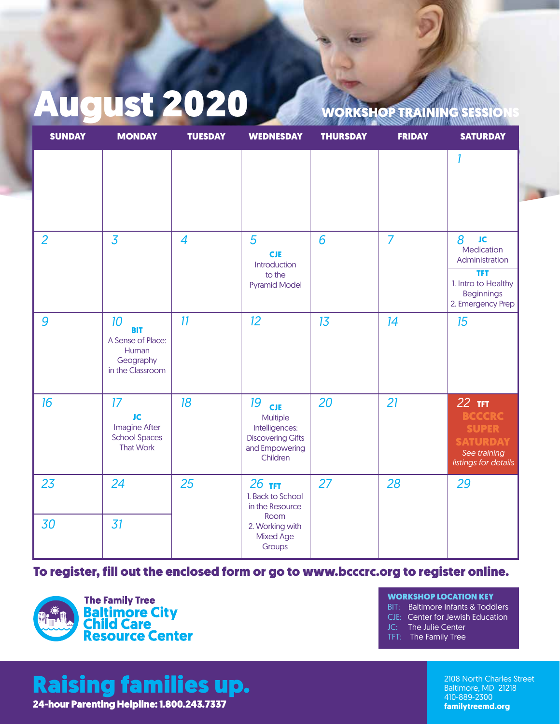# August 2020 WORKSHOP TRAINING

| <b>SUNDAY</b>  | <b>MONDAY</b>                                                                   | <b>TUESDAY</b> | <b>WEDNESDAY</b>                                                                                          | <b>THURSDAY</b> | <b>FRIDAY</b> | <b>SATURDAY</b>                                                                                                        |    |
|----------------|---------------------------------------------------------------------------------|----------------|-----------------------------------------------------------------------------------------------------------|-----------------|---------------|------------------------------------------------------------------------------------------------------------------------|----|
|                |                                                                                 |                |                                                                                                           |                 |               | 1                                                                                                                      |    |
| $\overline{2}$ | $\overline{3}$                                                                  | $\overline{4}$ | 5<br><b>CJE</b><br>Introduction<br>to the<br><b>Pyramid Model</b>                                         | 6               | 7             | 8<br>JC<br>Medication<br>Administration<br><b>TFT</b><br>1. Intro to Healthy<br><b>Beginnings</b><br>2. Emergency Prep |    |
| 9              | 10<br><b>BIT</b><br>A Sense of Place:<br>Human<br>Geography<br>in the Classroom | 11             | 12                                                                                                        | 13              | 14            | 15                                                                                                                     |    |
| 16             | 17<br>JC<br>Imagine After<br><b>School Spaces</b><br><b>That Work</b>           | 18             | 19<br><b>CJE</b><br>Multiple<br>Intelligences:<br><b>Discovering Gifts</b><br>and Empowering<br>Children  | 20              | 21            | $22 \text{ tr}$<br><b>BCCCRC</b><br><b>SUPER</b><br><b>SATURDAY</b><br>See training<br>listings for details            |    |
| 23             | 24                                                                              | 25             | $26$ TFT<br>1. Back to School<br>in the Resource<br>Room<br>2. Working with<br><b>Mixed Age</b><br>Groups |                 | 27            | 28                                                                                                                     | 29 |
| 30             | 31                                                                              |                |                                                                                                           |                 |               |                                                                                                                        |    |

To register, fill out the enclosed form or go to www.bcccrc.org to register online.



Raising families up.

24-hour Parenting Helpline: 1.800.243.7337

WORKSHOP LOCATION KEY

- BIT: Baltimore Infants & Toddlers
- CJE: Center for Jewish Education
- JC: The Julie Center
- TFT: The Family Tree

2108 North Charles Street Baltimore, MD 21218 410-889-2300 **familytreemd.org**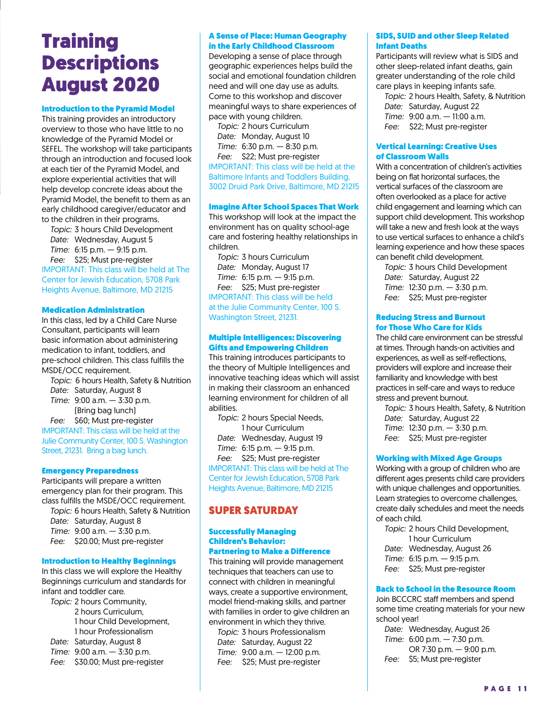## **Training Descriptions** August 2020

#### Introduction to the Pyramid Model

This training provides an introductory overview to those who have little to no knowledge of the Pyramid Model or SEFEL. The workshop will take participants through an introduction and focused look at each tier of the Pyramid Model, and explore experiential activities that will help develop concrete ideas about the Pyramid Model, the benefit to them as an early childhood caregiver/educator and to the children in their programs.

*Topic:* 3 hours Child Development *Date:* Wednesday, August 5

*Time:* 6:15 p.m. — 9:15 p.m.

*Fee:* \$25; Must pre-register

IMPORTANT: This class will be held at The Center for Jewish Education, 5708 Park Heights Avenue, Baltimore, MD 21215

#### Medication Administration

In this class, led by a Child Care Nurse Consultant, participants will learn basic information about administering medication to infant, toddlers, and pre-school children. This class fulfills the MSDE/OCC requirement.

*Topic:* 6 hours Health, Safety & Nutrition *Date:* Saturday, August 8

*Time:* 9:00 a.m. — 3:30 p.m. (Bring bag lunch)

*Fee:* \$60; Must pre-register IMPORTANT: This class will be held at the Julie Community Center, 100 S. Washington Street, 21231. Bring a bag lunch.

#### Emergency Preparedness

Participants will prepare a written emergency plan for their program. This class fulfills the MSDE/OCC requirement.

*Topic:* 6 hours Health, Safety & Nutrition *Date:* Saturday, August 8 *Time:* 9:00 a.m. — 3:30 p.m. *Fee:* \$20.00; Must pre-register

#### Introduction to Healthy Beginnings

In this class we will explore the Healthy Beginnings curriculum and standards for infant and toddler care.

*Topic:* 2 hours Community, 2 hours Curriculum, 1 hour Child Development, 1 hour Professionalism *Date:* Saturday, August 8 *Time:* 9:00 a.m. — 3:30 p.m. *Fee:* \$30.00; Must pre-register

#### A Sense of Place: Human Geography in the Early Childhood Classroom

Developing a sense of place through geographic experiences helps build the social and emotional foundation children need and will one day use as adults. Come to this workshop and discover meaningful ways to share experiences of pace with young children.

*Topic:* 2 hours Curriculum *Date:* Monday, August 10 *Time:* 6:30 p.m. — 8:30 p.m. *Fee:* \$22; Must pre-register IMPORTANT: This class will be held at the Baltimore Infants and Toddlers Building, 3002 Druid Park Drive, Baltimore, MD 21215

#### Imagine After School Spaces That Work

This workshop will look at the impact the environment has on quality school-age care and fostering healthy relationships in children.

*Topic:* 3 hours Curriculum *Date:* Monday, August 17 *Time:* 6:15 p.m. — 9:15 p.m. *Fee:* \$25; Must pre-register IMPORTANT: This class will be held

at the Julie Community Center, 100 S. Washington Street, 21231.

#### Multiple Intelligences: Discovering Gifts and Empowering Children

This training introduces participants to the theory of Multiple Intelligences and innovative teaching ideas which will assist in making their classroom an enhanced learning environment for children of all abilities.

*Topic:* 2 hours Special Needs, 1 hour Curriculum

*Date:* Wednesday, August 19

*Time:* 6:15 p.m. — 9:15 p.m.

*Fee:* \$25; Must pre-register

IMPORTANT: This class will be held at The Center for Jewish Education, 5708 Park Heights Avenue, Baltimore, MD 21215

#### SUPER SATURDAY

#### Successfully Managing Children's Behavior: Partnering to Make a Difference

This training will provide management techniques that teachers can use to connect with children in meaningful ways, create a supportive environment,

model friend-making skills, and partner with families in order to give children an environment in which they thrive.

*Topic:* 3 hours Professionalism *Date:* Saturday, August 22 *Time:* 9:00 a.m. — 12:00 p.m. *Fee:* \$25; Must pre-register

#### SIDS, SUID and other Sleep Related Infant Deaths

Participants will review what is SIDS and other sleep-related infant deaths, gain greater understanding of the role child care plays in keeping infants safe.

*Topic:* 2 hours Health, Safety, & Nutrition *Date:* Saturday, August 22 *Time:* 9:00 a.m. — 11:00 a.m. *Fee:* \$22; Must pre-register

Vertical Learning: Creative Uses of Classroom Walls

With a concentration of children's activities being on flat horizontal surfaces, the vertical surfaces of the classroom are often overlooked as a place for active child engagement and learning which can support child development. This workshop will take a new and fresh look at the ways to use vertical surfaces to enhance a child's learning experience and how these spaces can benefit child development.

*Topic:* 3 hours Child Development *Date:* Saturday, August 22 *Time:* 12:30 p.m. — 3:30 p.m. *Fee:* \$25; Must pre-register

#### Reducing Stress and Burnout for Those Who Care for Kids

The child care environment can be stressful at times. Through hands-on activities and experiences, as well as self-reflections, providers will explore and increase their familiarity and knowledge with best practices in self-care and ways to reduce stress and prevent burnout.

*Topic:* 3 hours Health, Safety, & Nutrition

*Date:* Saturday, August 22

- *Time:* 12:30 p.m. 3:30 p.m.
- *Fee:* \$25; Must pre-register

#### Working with Mixed Age Groups

Working with a group of children who are different ages presents child care providers with unique challenges and opportunities. Learn strategies to overcome challenges, create daily schedules and meet the needs of each child.

*Topic:* 2 hours Child Development, 1 hour Curriculum *Date:* Wednesday, August 26 *Time:* 6:15 p.m. — 9:15 p.m. *Fee:* \$25; Must pre-register

#### Back to School in the Resource Room

Join BCCCRC staff members and spend some time creating materials for your new school year!

*Date:* Wednesday, August 26 *Time:* 6:00 p.m. — 7:30 p.m. OR 7:30 p.m. — 9:00 p.m. *Fee:* \$5; Must pre-register